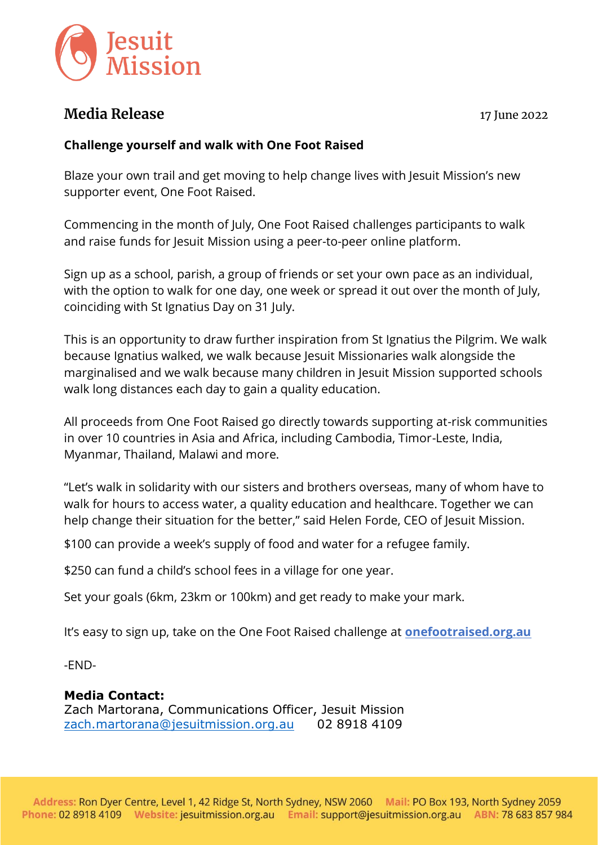

## **Media Release** 17 June 2022

## **Challenge yourself and walk with One Foot Raised**

Blaze your own trail and get moving to help change lives with Jesuit Mission's new supporter event, One Foot Raised.

Commencing in the month of July, One Foot Raised challenges participants to walk and raise funds for Jesuit Mission using a peer-to-peer online platform.

Sign up as a school, parish, a group of friends or set your own pace as an individual, with the option to walk for one day, one week or spread it out over the month of July, coinciding with St Ignatius Day on 31 July.

This is an opportunity to draw further inspiration from St Ignatius the Pilgrim. We walk because Ignatius walked, we walk because Jesuit Missionaries walk alongside the marginalised and we walk because many children in Jesuit Mission supported schools walk long distances each day to gain a quality education.

All proceeds from One Foot Raised go directly towards supporting at-risk communities in over 10 countries in Asia and Africa, including Cambodia, Timor-Leste, India, Myanmar, Thailand, Malawi and more.

"Let's walk in solidarity with our sisters and brothers overseas, many of whom have to walk for hours to access water, a quality education and healthcare. Together we can help change their situation for the better," said Helen Forde, CEO of Jesuit Mission.

\$100 can provide a week's supply of food and water for a refugee family.

\$250 can fund a child's school fees in a village for one year.

Set your goals (6km, 23km or 100km) and get ready to make your mark.

It's easy to sign up, take on the One Foot Raised challenge at **[onefootraised.org.au](http://onefootraised.org.au/)**

-END-

## **Media Contact:**

Zach Martorana, Communications Officer, Jesuit Mission [zach.martorana@jesuitmission.org.au](mailto:zach.martorana@jesuitmission.org.au) 02 8918 4109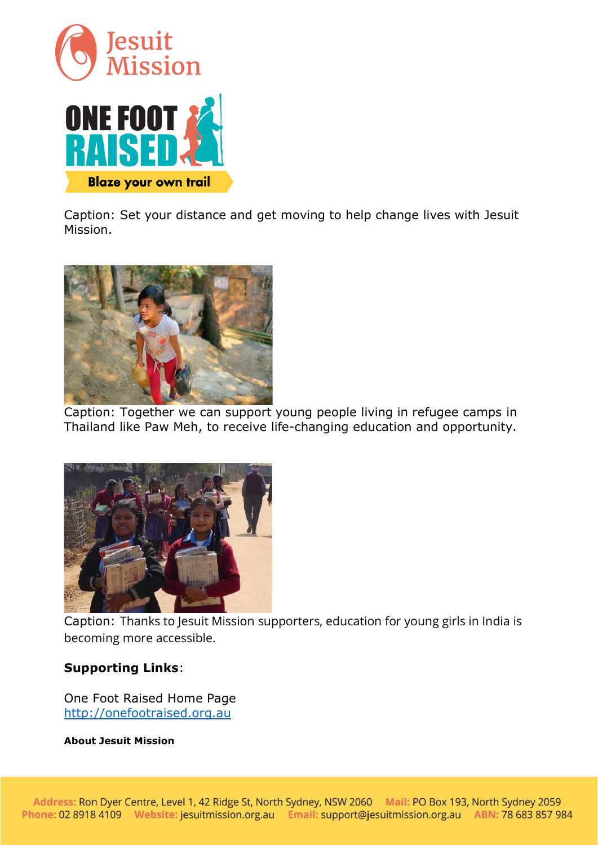

Caption: Set your distance and get moving to help change lives with Jesuit Mission.



Caption: Together we can support young people living in refugee camps in Thailand like Paw Meh, to receive life-changing education and opportunity.



Caption: Thanks to Jesuit Mission supporters, education for young girls in India is becoming more accessible.

## **Supporting Links**:

One Foot Raised Home Page [http://onefootraised.org.au](http://onefootraised.org.au/)

**About Jesuit Mission**